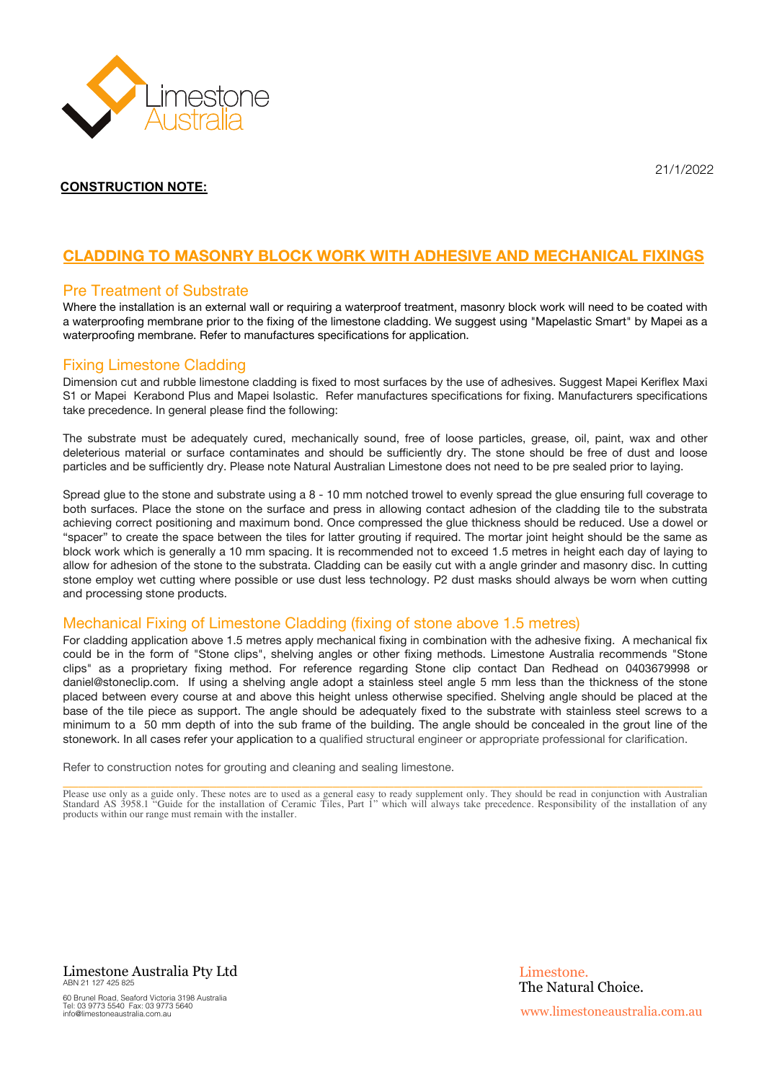

## **CLADDING TO MASONRY BLOCK WORK WITH ADHESIVE AND MECHANICAL FIXINGS**

#### Pre Treatment of Substrate

Where the installation is an external wall or requiring a waterproof treatment, masonry block work will need to be coated with a waterproofing membrane prior to the fixing of the limestone cladding. We suggest using "Mapelastic Smart" by Mapei as a waterproofing membrane. Refer to manufactures specifications for application.

#### Fixing Limestone Cladding

Dimension cut and rubble limestone cladding is fixed to most surfaces by the use of adhesives. Suggest Mapei Keriflex Maxi S1 or Mapei Kerabond Plus and Mapei Isolastic. Refer manufactures specifications for fixing. Manufacturers specifications take precedence. In general please find the following:

The substrate must be adequately cured, mechanically sound, free of loose particles, grease, oil, paint, wax and other deleterious material or surface contaminates and should be sufficiently dry. The stone should be free of dust and loose particles and be sufficiently dry. Please note Natural Australian Limestone does not need to be pre sealed prior to laying.

Spread glue to the stone and substrate using a 8 - 10 mm notched trowel to evenly spread the glue ensuring full coverage to both surfaces. Place the stone on the surface and press in allowing contact adhesion of the cladding tile to the substrata achieving correct positioning and maximum bond. Once compressed the glue thickness should be reduced. Use a dowel or "spacer" to create the space between the tiles for latter grouting if required. The mortar joint height should be the same as block work which is generally a 10 mm spacing. It is recommended not to exceed 1.5 metres in height each day of laying to allow for adhesion of the stone to the substrata. Cladding can be easily cut with a angle grinder and masonry disc. In cutting stone employ wet cutting where possible or use dust less technology. P2 dust masks should always be worn when cutting and processing stone products.

#### Mechanical Fixing of Limestone Cladding (fixing of stone above 1.5 metres)

For cladding application above 1.5 metres apply mechanical fixing in combination with the adhesive fixing. A mechanical fix could be in the form of "Stone clips", shelving angles or other fixing methods. Limestone Australia recommends "Stone clips" as a proprietary fixing method. For reference regarding Stone clip contact Dan Redhead on 0403679998 or daniel@stoneclip.com. If using a shelving angle adopt a stainless steel angle 5 mm less than the thickness of the stone placed between every course at and above this height unless otherwise specified. Shelving angle should be placed at the base of the tile piece as support. The angle should be adequately fixed to the substrate with stainless steel screws to a minimum to a 50 mm depth of into the sub frame of the building. The angle should be concealed in the grout line of the stonework. In all cases refer your application to a qualified structural engineer or appropriate professional for clarification.

Refer to construction notes for grouting and cleaning and sealing limestone.

\_\_\_\_\_\_\_\_\_\_\_\_\_\_\_\_\_\_\_\_\_\_\_\_\_\_\_\_\_\_\_\_\_\_\_\_\_\_\_\_\_\_\_\_\_\_\_\_\_\_\_\_\_\_\_\_\_\_\_\_\_\_\_\_\_\_\_\_\_\_\_\_\_\_\_\_\_\_\_\_\_\_\_ Please use only as a guide only. These notes are to used as a general easy to ready supplement only. They should be read in conjunction with Australian Standard AS 3958.1 "Guide for the installation of Ceramic Tiles, Part 1" which will always take precedence. Responsibility of the installation of any products within our range must remain with the installer.

Limestone Australia Pty Ltd ABN 21 127 425 825 60 Brunel Road, Seaford Victoria 3198 Australia Tel: 03 9773 5540 Fax: 03 9773 5640 info@limestoneaustralia.com.au

21/1/2022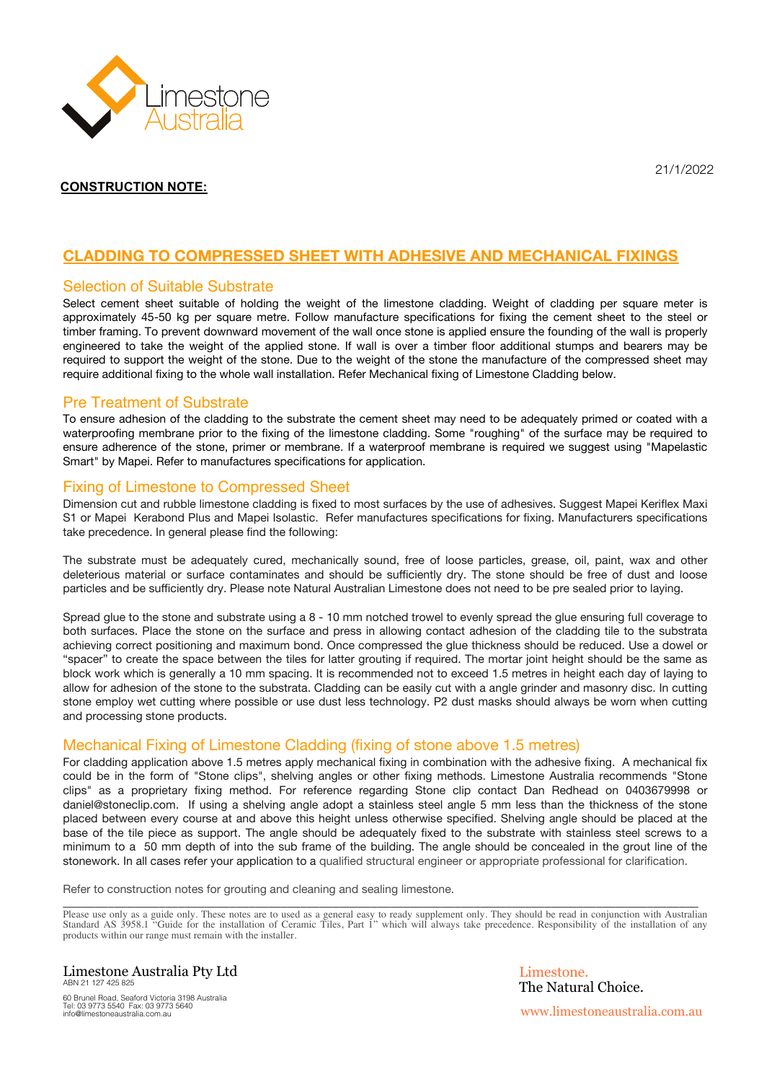

# **CLADDING TO COMPRESSED SHEET WITH ADHESIVE AND MECHANICAL FIXINGS**

#### Selection of Suitable Substrate

Select cement sheet suitable of holding the weight of the limestone cladding. Weight of cladding per square meter is approximately 45-50 kg per square metre. Follow manufacture specifications for fixing the cement sheet to the steel or timber framing. To prevent downward movement of the wall once stone is applied ensure the founding of the wall is properly engineered to take the weight of the applied stone. If wall is over a timber floor additional stumps and bearers may be required to support the weight of the stone. Due to the weight of the stone the manufacture of the compressed sheet may require additional fixing to the whole wall installation. Refer Mechanical fixing of Limestone Cladding below.

#### Pre Treatment of Substrate

To ensure adhesion of the cladding to the substrate the cement sheet may need to be adequately primed or coated with a waterproofing membrane prior to the fixing of the limestone cladding. Some "roughing" of the surface may be required to ensure adherence of the stone, primer or membrane. If a waterproof membrane is required we suggest using "Mapelastic Smart" by Mapei. Refer to manufactures specifications for application.

#### Fixing of Limestone to Compressed Sheet

Dimension cut and rubble limestone cladding is fixed to most surfaces by the use of adhesives. Suggest Mapei Keriflex Maxi S1 or Mapei Kerabond Plus and Mapei Isolastic. Refer manufactures specifications for fixing. Manufacturers specifications take precedence. In general please find the following:

The substrate must be adequately cured, mechanically sound, free of loose particles, grease, oil, paint, wax and other deleterious material or surface contaminates and should be sufficiently dry. The stone should be free of dust and loose particles and be sufficiently dry. Please note Natural Australian Limestone does not need to be pre sealed prior to laying.

Spread glue to the stone and substrate using a 8 - 10 mm notched trowel to evenly spread the glue ensuring full coverage to both surfaces. Place the stone on the surface and press in allowing contact adhesion of the cladding tile to the substrata achieving correct positioning and maximum bond. Once compressed the glue thickness should be reduced. Use a dowel or "spacer" to create the space between the tiles for latter grouting if required. The mortar joint height should be the same as block work which is generally a 10 mm spacing. It is recommended not to exceed 1.5 metres in height each day of laying to allow for adhesion of the stone to the substrata. Cladding can be easily cut with a angle grinder and masonry disc. In cutting stone employ wet cutting where possible or use dust less technology. P2 dust masks should always be worn when cutting and processing stone products.

### Mechanical Fixing of Limestone Cladding (fixing of stone above 1.5 metres)

For cladding application above 1.5 metres apply mechanical fixing in combination with the adhesive fixing. A mechanical fix could be in the form of "Stone clips", shelving angles or other fixing methods. Limestone Australia recommends "Stone clips" as a proprietary fixing method. For reference regarding Stone clip contact Dan Redhead on 0403679998 or daniel@stoneclip.com. If using a shelving angle adopt a stainless steel angle 5 mm less than the thickness of the stone placed between every course at and above this height unless otherwise specified. Shelving angle should be placed at the base of the tile piece as support. The angle should be adequately fixed to the substrate with stainless steel screws to a minimum to a 50 mm depth of into the sub frame of the building. The angle should be concealed in the grout line of the stonework. In all cases refer your application to a qualified structural engineer or appropriate professional for clarification.

Refer to construction notes for grouting and cleaning and sealing limestone.

Please use only as a guide only. These notes are to used as a general easy to ready supplement only. They should be read in conjunction with Australian Standard AS 3958.1 "Guide for the installation of Ceramic Tiles, Part 1" which will always take precedence. Responsibility of the installation of any products within our range must remain with the installer.

\_\_\_\_\_\_\_\_\_\_\_\_\_\_\_\_\_\_\_\_\_\_\_\_\_\_\_\_\_\_\_\_\_\_\_\_\_\_\_\_\_\_\_\_\_\_\_\_\_\_\_\_\_\_\_\_\_\_\_\_\_\_\_\_\_\_\_\_\_\_\_\_\_\_\_\_\_\_\_\_\_\_\_\_\_\_\_\_\_\_\_\_\_\_\_\_\_\_\_

Limestone Australia Pty Ltd ABN 21 127 425 825 60 Brunel Road, Seaford Victoria 3198 Australia Tel: 03 9773 5540 Fax: 03 9773 5640 info@limestoneaustralia.com.au

Limestone. The Natural Choice. www.limestoneaustralia.com.au

21/1/2022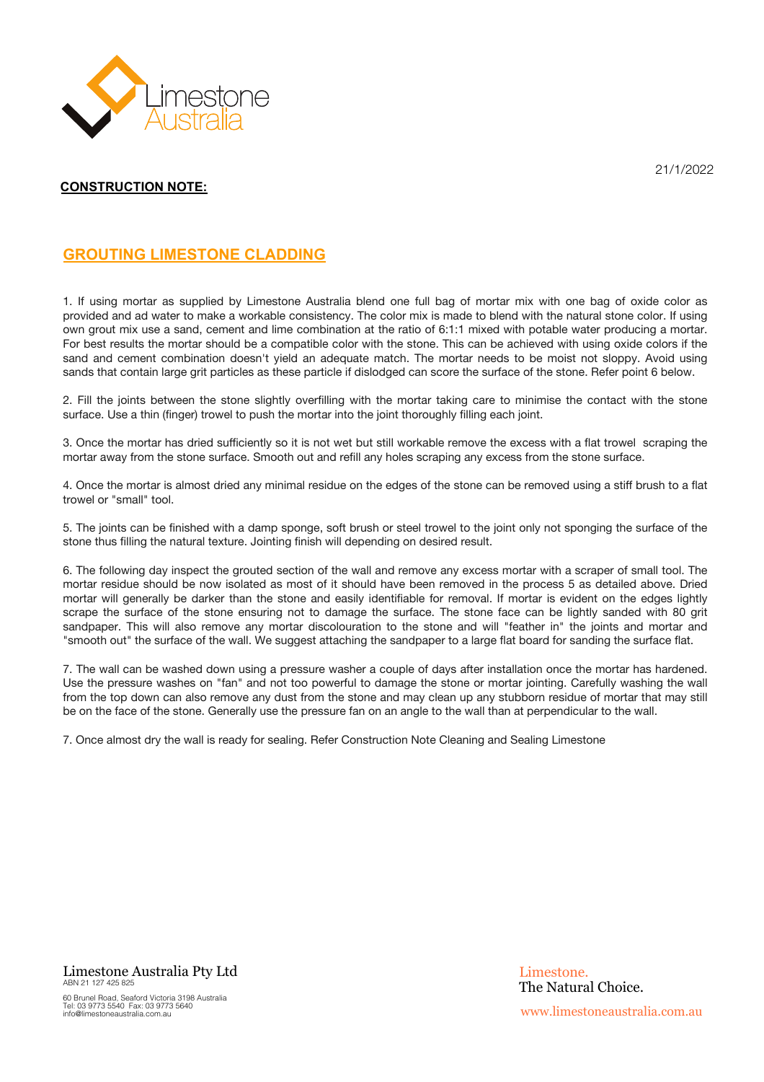

21/1/2022

## **GROUTING LIMESTONE CLADDING**

1. If using mortar as supplied by Limestone Australia blend one full bag of mortar mix with one bag of oxide color as provided and ad water to make a workable consistency. The color mix is made to blend with the natural stone color. If using own grout mix use a sand, cement and lime combination at the ratio of 6:1:1 mixed with potable water producing a mortar. For best results the mortar should be a compatible color with the stone. This can be achieved with using oxide colors if the sand and cement combination doesn't yield an adequate match. The mortar needs to be moist not sloppy. Avoid using sands that contain large grit particles as these particle if dislodged can score the surface of the stone. Refer point 6 below.

2. Fill the joints between the stone slightly overfilling with the mortar taking care to minimise the contact with the stone surface. Use a thin (finger) trowel to push the mortar into the joint thoroughly filling each joint.

3. Once the mortar has dried sufficiently so it is not wet but still workable remove the excess with a flat trowel scraping the mortar away from the stone surface. Smooth out and refill any holes scraping any excess from the stone surface.

4. Once the mortar is almost dried any minimal residue on the edges of the stone can be removed using a stiff brush to a flat trowel or "small" tool.

5. The joints can be finished with a damp sponge, soft brush or steel trowel to the joint only not sponging the surface of the stone thus filling the natural texture. Jointing finish will depending on desired result.

6. The following day inspect the grouted section of the wall and remove any excess mortar with a scraper of small tool. The mortar residue should be now isolated as most of it should have been removed in the process 5 as detailed above. Dried mortar will generally be darker than the stone and easily identifiable for removal. If mortar is evident on the edges lightly scrape the surface of the stone ensuring not to damage the surface. The stone face can be lightly sanded with 80 grit sandpaper. This will also remove any mortar discolouration to the stone and will "feather in" the joints and mortar and "smooth out" the surface of the wall. We suggest attaching the sandpaper to a large flat board for sanding the surface flat.

7. The wall can be washed down using a pressure washer a couple of days after installation once the mortar has hardened. Use the pressure washes on "fan" and not too powerful to damage the stone or mortar jointing. Carefully washing the wall from the top down can also remove any dust from the stone and may clean up any stubborn residue of mortar that may still be on the face of the stone. Generally use the pressure fan on an angle to the wall than at perpendicular to the wall.

7. Once almost dry the wall is ready for sealing. Refer Construction Note Cleaning and Sealing Limestone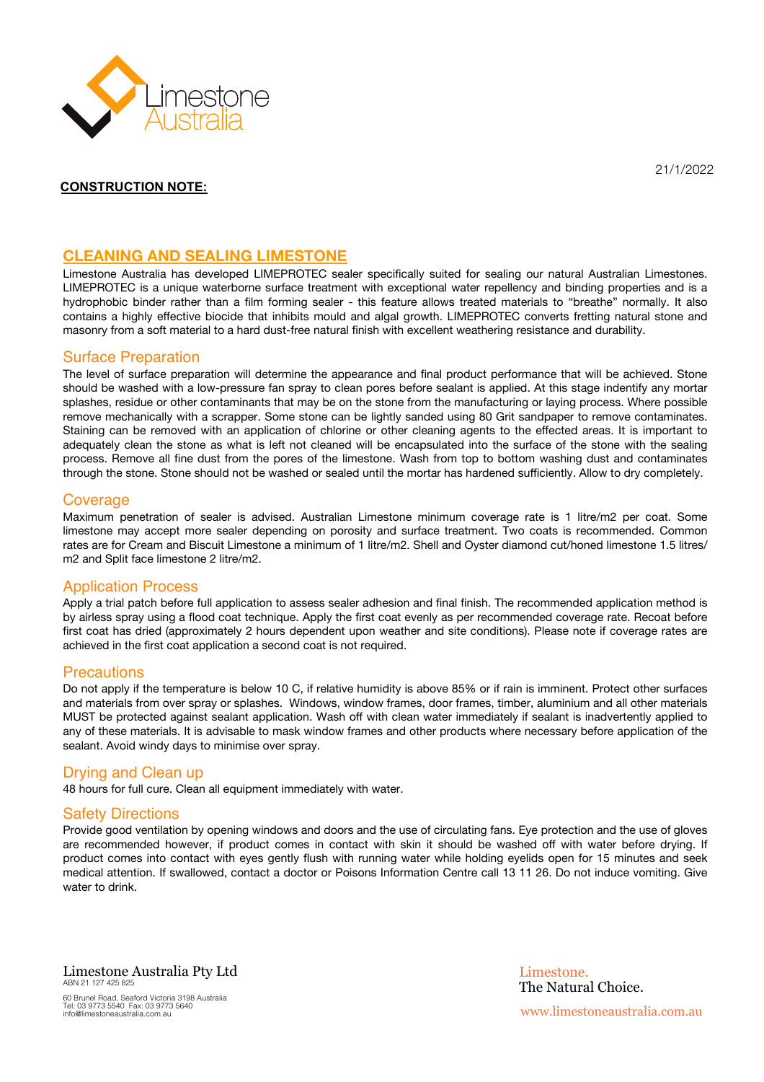

21/1/2022

#### **CLEANING AND SEALING LIMESTONE**

Limestone Australia has developed LIMEPROTEC sealer specifically suited for sealing our natural Australian Limestones. LIMEPROTEC is a unique waterborne surface treatment with exceptional water repellency and binding properties and is a hydrophobic binder rather than a film forming sealer - this feature allows treated materials to "breathe" normally. It also contains a highly effective biocide that inhibits mould and algal growth. LIMEPROTEC converts fretting natural stone and masonry from a soft material to a hard dust-free natural finish with excellent weathering resistance and durability.

#### Surface Preparation

The level of surface preparation will determine the appearance and final product performance that will be achieved. Stone should be washed with a low-pressure fan spray to clean pores before sealant is applied. At this stage indentify any mortar splashes, residue or other contaminants that may be on the stone from the manufacturing or laying process. Where possible remove mechanically with a scrapper. Some stone can be lightly sanded using 80 Grit sandpaper to remove contaminates. Staining can be removed with an application of chlorine or other cleaning agents to the effected areas. It is important to adequately clean the stone as what is left not cleaned will be encapsulated into the surface of the stone with the sealing process. Remove all fine dust from the pores of the limestone. Wash from top to bottom washing dust and contaminates through the stone. Stone should not be washed or sealed until the mortar has hardened sufficiently. Allow to dry completely.

#### **Coverage**

Maximum penetration of sealer is advised. Australian Limestone minimum coverage rate is 1 litre/m2 per coat. Some limestone may accept more sealer depending on porosity and surface treatment. Two coats is recommended. Common rates are for Cream and Biscuit Limestone a minimum of 1 litre/m2. Shell and Oyster diamond cut/honed limestone 1.5 litres/ m2 and Split face limestone 2 litre/m2.

#### Application Process

Apply a trial patch before full application to assess sealer adhesion and final finish. The recommended application method is by airless spray using a flood coat technique. Apply the first coat evenly as per recommended coverage rate. Recoat before first coat has dried (approximately 2 hours dependent upon weather and site conditions). Please note if coverage rates are achieved in the first coat application a second coat is not required.

#### **Precautions**

Do not apply if the temperature is below 10 C, if relative humidity is above 85% or if rain is imminent. Protect other surfaces and materials from over spray or splashes. Windows, window frames, door frames, timber, aluminium and all other materials MUST be protected against sealant application. Wash off with clean water immediately if sealant is inadvertently applied to any of these materials. It is advisable to mask window frames and other products where necessary before application of the sealant. Avoid windy days to minimise over spray.

#### Drying and Clean up

48 hours for full cure. Clean all equipment immediately with water.

#### Safety Directions

Provide good ventilation by opening windows and doors and the use of circulating fans. Eye protection and the use of gloves are recommended however, if product comes in contact with skin it should be washed off with water before drying. If product comes into contact with eyes gently flush with running water while holding eyelids open for 15 minutes and seek medical attention. If swallowed, contact a doctor or Poisons Information Centre call 13 11 26. Do not induce vomiting. Give water to drink.

Limestone Australia Pty Ltd ABN 21 127 425 825 60 Brunel Road, Seaford Victoria 3198 Australia Tel: 03 9773 5540 Fax: 03 9773 5640 info@limestoneaustralia.com.au

Limestone. The Natural Choice. www.limestoneaustralia.com.au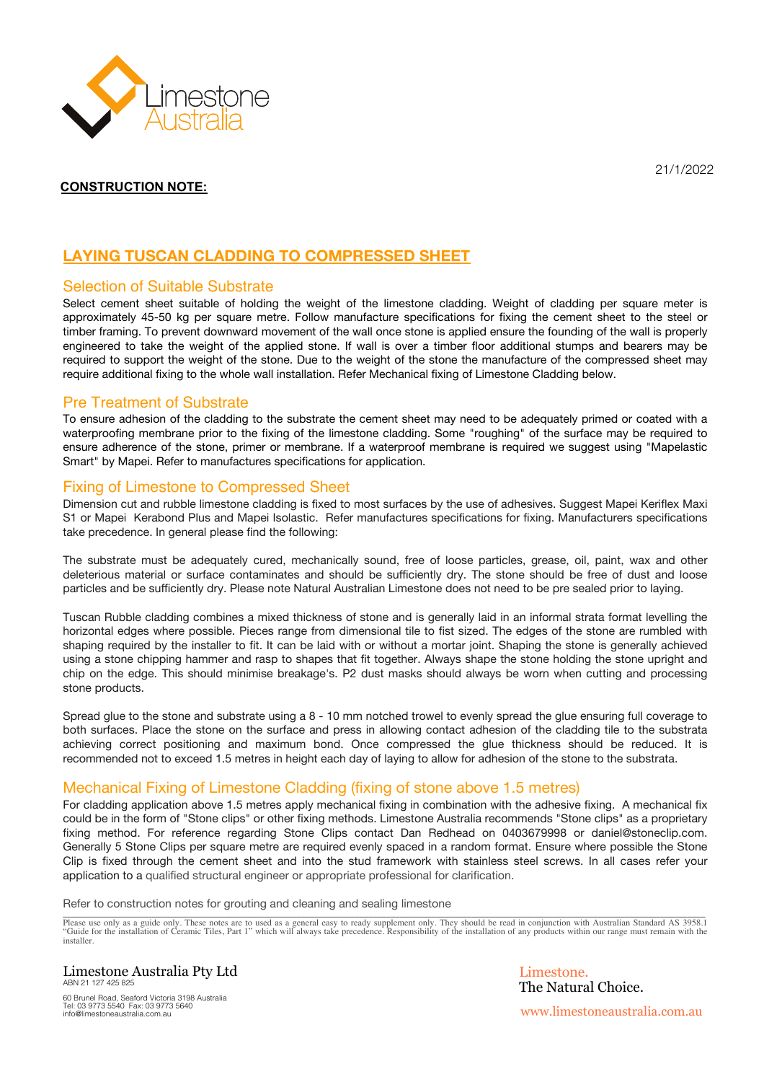

21/1/2022

# **LAYING TUSCAN CLADDING TO COMPRESSED SHEET**

#### Selection of Suitable Substrate

Select cement sheet suitable of holding the weight of the limestone cladding. Weight of cladding per square meter is approximately 45-50 kg per square metre. Follow manufacture specifications for fixing the cement sheet to the steel or timber framing. To prevent downward movement of the wall once stone is applied ensure the founding of the wall is properly engineered to take the weight of the applied stone. If wall is over a timber floor additional stumps and bearers may be required to support the weight of the stone. Due to the weight of the stone the manufacture of the compressed sheet may require additional fixing to the whole wall installation. Refer Mechanical fixing of Limestone Cladding below.

#### Pre Treatment of Substrate

To ensure adhesion of the cladding to the substrate the cement sheet may need to be adequately primed or coated with a waterproofing membrane prior to the fixing of the limestone cladding. Some "roughing" of the surface may be required to ensure adherence of the stone, primer or membrane. If a waterproof membrane is required we suggest using "Mapelastic Smart" by Mapei. Refer to manufactures specifications for application.

#### Fixing of Limestone to Compressed Sheet

Dimension cut and rubble limestone cladding is fixed to most surfaces by the use of adhesives. Suggest Mapei Keriflex Maxi S1 or Mapei Kerabond Plus and Mapei Isolastic. Refer manufactures specifications for fixing. Manufacturers specifications take precedence. In general please find the following:

The substrate must be adequately cured, mechanically sound, free of loose particles, grease, oil, paint, wax and other deleterious material or surface contaminates and should be sufficiently dry. The stone should be free of dust and loose particles and be sufficiently dry. Please note Natural Australian Limestone does not need to be pre sealed prior to laying.

Tuscan Rubble cladding combines a mixed thickness of stone and is generally laid in an informal strata format levelling the horizontal edges where possible. Pieces range from dimensional tile to fist sized. The edges of the stone are rumbled with shaping required by the installer to fit. It can be laid with or without a mortar joint. Shaping the stone is generally achieved using a stone chipping hammer and rasp to shapes that fit together. Always shape the stone holding the stone upright and chip on the edge. This should minimise breakage's. P2 dust masks should always be worn when cutting and processing stone products.

Spread glue to the stone and substrate using a 8 - 10 mm notched trowel to evenly spread the glue ensuring full coverage to both surfaces. Place the stone on the surface and press in allowing contact adhesion of the cladding tile to the substrata achieving correct positioning and maximum bond. Once compressed the glue thickness should be reduced. It is recommended not to exceed 1.5 metres in height each day of laying to allow for adhesion of the stone to the substrata.

### Mechanical Fixing of Limestone Cladding (fixing of stone above 1.5 metres)

For cladding application above 1.5 metres apply mechanical fixing in combination with the adhesive fixing. A mechanical fix could be in the form of "Stone clips" or other fixing methods. Limestone Australia recommends "Stone clips" as a proprietary fixing method. For reference regarding Stone Clips contact Dan Redhead on 0403679998 or daniel@stoneclip.com. Generally 5 Stone Clips per square metre are required evenly spaced in a random format. Ensure where possible the Stone Clip is fixed through the cement sheet and into the stud framework with stainless steel screws. In all cases refer your application to a qualified structural engineer or appropriate professional for clarification.

Refer to construction notes for grouting and cleaning and sealing limestone

en Please use only as a guide only. These notes are to used as a general easy to ready supplement only. They should be read in conjunction with Australian Standard AS 3958.1 "<br>"Guide for the installation of Ceramic Tiles, installer.

Limestone Australia Pty Ltd ABN 21 127 425 825

60 Brunel Road, Seaford Victoria 3198 Australia Tel: 03 9773 5540 Fax: 03 9773 5640 info@limestoneaustralia.com.au

Limestone. The Natural Choice. www.limestoneaustralia.com.au